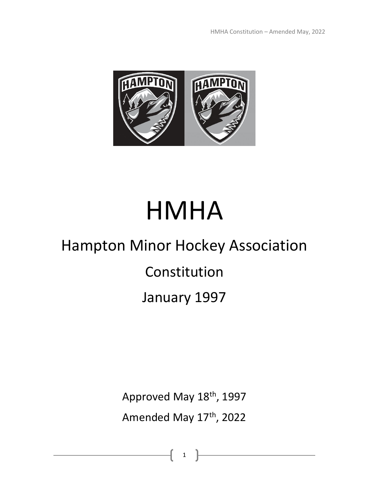

# HMHA

# Hampton Minor Hockey Association

Constitution

January 1997

Approved May 18<sup>th</sup>, 1997 Amended May 17th, 2022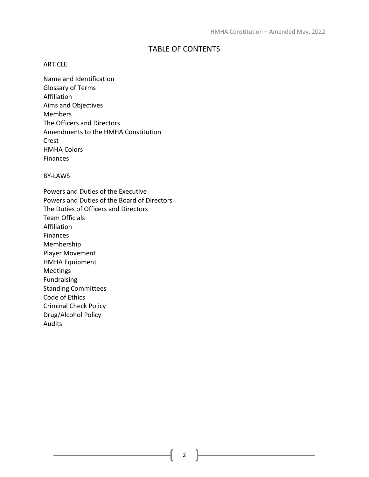# TABLE OF CONTENTS

### ARTICLE

Name and Identification Glossary of Terms Affiliation Aims and Objectives Members The Officers and Directors Amendments to the HMHA Constitution Crest HMHA Colors Finances

BY-LAWS

Powers and Duties of the Executive Powers and Duties of the Board of Directors The Duties of Officers and Directors Team Officials Affiliation Finances Membership Player Movement HMHA Equipment Meetings Fundraising Standing Committees Code of Ethics Criminal Check Policy Drug/Alcohol Policy Audits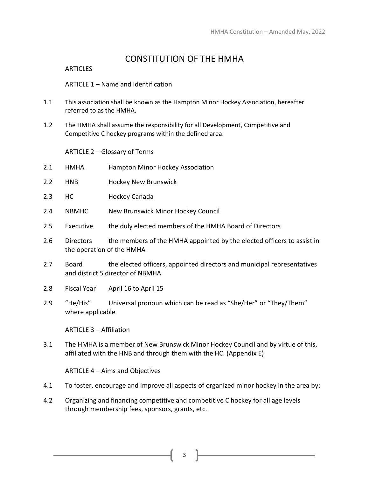# CONSTITUTION OF THE HMHA

#### **ARTICLES**

ARTICLE 1 – Name and Identification

- 1.1 This association shall be known as the Hampton Minor Hockey Association, hereafter referred to as the HMHA.
- 1.2 The HMHA shall assume the responsibility for all Development, Competitive and Competitive C hockey programs within the defined area.

ARTICLE 2 – Glossary of Terms

- 2.1 HMHA Hampton Minor Hockey Association
- 2.2 HNB Hockey New Brunswick
- 2.3 HC Hockey Canada
- 2.4 NBMHC New Brunswick Minor Hockey Council
- 2.5 Executive the duly elected members of the HMHA Board of Directors
- 2.6 Directors the members of the HMHA appointed by the elected officers to assist in the operation of the HMHA
- 2.7 Board the elected officers, appointed directors and municipal representatives and district 5 director of NBMHA
- 2.8 Fiscal Year April 16 to April 15
- 2.9 "He/His" Universal pronoun which can be read as "She/Her" or "They/Them" where applicable

ARTICLE 3 – Affiliation

3.1 The HMHA is a member of New Brunswick Minor Hockey Council and by virtue of this, affiliated with the HNB and through them with the HC. (Appendix E)

ARTICLE 4 – Aims and Objectives

- 4.1 To foster, encourage and improve all aspects of organized minor hockey in the area by:
- 4.2 Organizing and financing competitive and competitive C hockey for all age levels through membership fees, sponsors, grants, etc.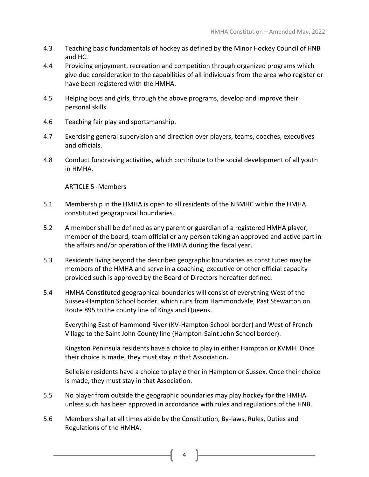- 4.3 Teaching basic fundamentals of hockey as defined by the Minor Hockey Council of HNB and HC.
- 4.4 Providing enjoyment, recreation and competition through organized programs which give due consideration to the capabilities of all individuals from the area who register or have been registered with the HMHA.
- 4.5 Helping boys and girls, through the above programs, develop and improve their personal skills.
- 4.6 Teaching fair play and sportsmanship.
- 4.7 Exercising general supervision and direction over players, teams, coaches, executives and officials.
- 4.8 Conduct fundraising activities, which contribute to the social development of all youth in HMHA.

ARTICLE 5 -Members

- 5.1 Membership in the HMHA is open to all residents of the NBMHC within the HMHA constituted geographical boundaries.
- 5.2 A member shall be defined as any parent or guardian of a registered HMHA player, member of the board, team official or any person taking an approved and active part in the affairs and/or operation of the HMHA during the fiscal year.
- 5.3 Residents living beyond the described geographic boundaries as constituted may be members of the HMHA and serve in a coaching, executive or other official capacity provided such is approved by the Board of Directors hereafter defined.
- 5.4 HMHA Constituted geographical boundaries will consist of everything West of the Sussex-Hampton School border, which runs from Hammondvale, Past Stewarton on Route 895 to the county line of Kings and Queens.

Everything East of Hammond River (KV-Hampton School border) and West of French Village to the Saint John County line (Hampton-Saint John School border).

Kingston Peninsula residents have a choice to play in either Hampton or KVMH. Once their choice is made, they must stay in that Association**.** 

Belleisle residents have a choice to play either in Hampton or Sussex. Once their choice is made, they must stay in that Association.

- 5.5 No player from outside the geographic boundaries may play hockey for the HMHA unless such has been approved in accordance with rules and regulations of the HNB.
- 5.6 Members shall at all times abide by the Constitution, By-laws, Rules, Duties and Regulations of the HMHA.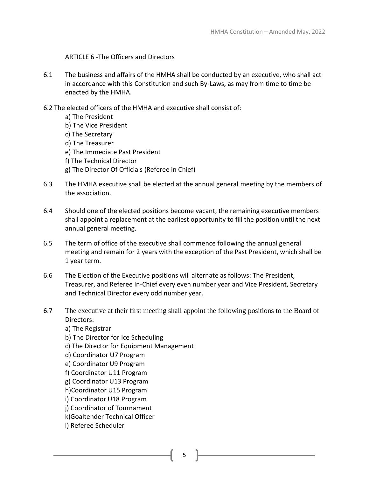ARTICLE 6 -The Officers and Directors

- 6.1 The business and affairs of the HMHA shall be conducted by an executive, who shall act in accordance with this Constitution and such By-Laws, as may from time to time be enacted by the HMHA.
- 6.2 The elected officers of the HMHA and executive shall consist of:
	- a) The President b) The Vice President c) The Secretary d) The Treasurer e) The Immediate Past President f) The Technical Director g) The Director Of Officials (Referee in Chief)
- 6.3 The HMHA executive shall be elected at the annual general meeting by the members of the association.
- 6.4 Should one of the elected positions become vacant, the remaining executive members shall appoint a replacement at the earliest opportunity to fill the position until the next annual general meeting.
- 6.5 The term of office of the executive shall commence following the annual general meeting and remain for 2 years with the exception of the Past President, which shall be 1 year term.
- 6.6 The Election of the Executive positions will alternate as follows: The President, Treasurer, and Referee In-Chief every even number year and Vice President, Secretary and Technical Director every odd number year.
- 6.7 The executive at their first meeting shall appoint the following positions to the Board of Directors:
	- a) The Registrar
	- b) The Director for Ice Scheduling
	- c) The Director for Equipment Management
	- d) Coordinator U7 Program
	- e) Coordinator U9 Program
	- f) Coordinator U11 Program
	- g) Coordinator U13 Program
	- h)Coordinator U15 Program
	- i) Coordinator U18 Program
	- j) Coordinator of Tournament
	- k)Goaltender Technical Officer
	- l) Referee Scheduler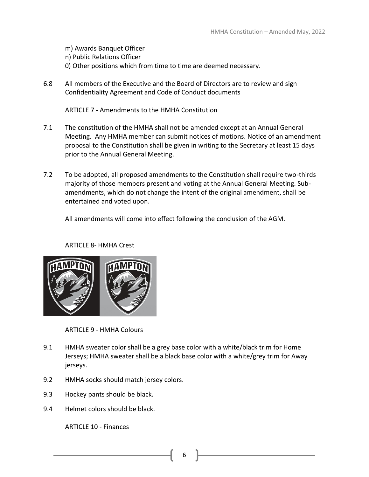m) Awards Banquet Officer n) Public Relations Officer 0) Other positions which from time to time are deemed necessary.

6.8 All members of the Executive and the Board of Directors are to review and sign Confidentiality Agreement and Code of Conduct documents

ARTICLE 7 - Amendments to the HMHA Constitution

- 7.1 The constitution of the HMHA shall not be amended except at an Annual General Meeting. Any HMHA member can submit notices of motions. Notice of an amendment proposal to the Constitution shall be given in writing to the Secretary at least 15 days prior to the Annual General Meeting.
- 7.2 To be adopted, all proposed amendments to the Constitution shall require two-thirds majority of those members present and voting at the Annual General Meeting. Subamendments, which do not change the intent of the original amendment, shall be entertained and voted upon.

All amendments will come into effect following the conclusion of the AGM.

# ARTICLE 8- HMHA Crest



ARTICLE 9 - HMHA Colours

- 9.1 HMHA sweater color shall be a grey base color with a white/black trim for Home Jerseys; HMHA sweater shall be a black base color with a white/grey trim for Away jerseys.
- 9.2 HMHA socks should match jersey colors.
- 9.3 Hockey pants should be black.
- 9.4 Helmet colors should be black.

ARTICLE 10 - Finances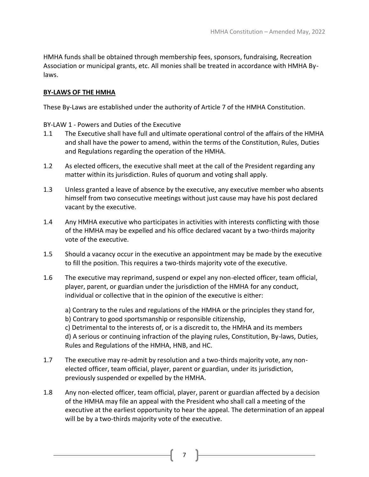HMHA funds shall be obtained through membership fees, sponsors, fundraising, Recreation Association or municipal grants, etc. All monies shall be treated in accordance with HMHA Bylaws.

# **BY-LAWS OF THE HMHA**

These By-Laws are established under the authority of Article 7 of the HMHA Constitution.

BY-LAW 1 - Powers and Duties of the Executive

- 1.1 The Executive shall have full and ultimate operational control of the affairs of the HMHA and shall have the power to amend, within the terms of the Constitution, Rules, Duties and Regulations regarding the operation of the HMHA.
- 1.2 As elected officers, the executive shall meet at the call of the President regarding any matter within its jurisdiction. Rules of quorum and voting shall apply.
- 1.3 Unless granted a leave of absence by the executive, any executive member who absents himself from two consecutive meetings without just cause may have his post declared vacant by the executive.
- 1.4 Any HMHA executive who participates in activities with interests conflicting with those of the HMHA may be expelled and his office declared vacant by a two-thirds majority vote of the executive.
- 1.5 Should a vacancy occur in the executive an appointment may be made by the executive to fill the position. This requires a two-thirds majority vote of the executive.
- 1.6 The executive may reprimand, suspend or expel any non-elected officer, team official, player, parent, or guardian under the jurisdiction of the HMHA for any conduct, individual or collective that in the opinion of the executive is either:

a) Contrary to the rules and regulations of the HMHA or the principles they stand for, b) Contrary to good sportsmanship or responsible citizenship, c) Detrimental to the interests of, or is a discredit to, the HMHA and its members d) A serious or continuing infraction of the playing rules, Constitution, By-laws, Duties, Rules and Regulations of the HMHA, HNB, and HC.

- 1.7 The executive may re-admit by resolution and a two-thirds majority vote, any nonelected officer, team official, player, parent or guardian, under its jurisdiction, previously suspended or expelled by the HMHA.
- 1.8 Any non-elected officer, team official, player, parent or guardian affected by a decision of the HMHA may file an appeal with the President who shall call a meeting of the executive at the earliest opportunity to hear the appeal. The determination of an appeal will be by a two-thirds majority vote of the executive.

7 |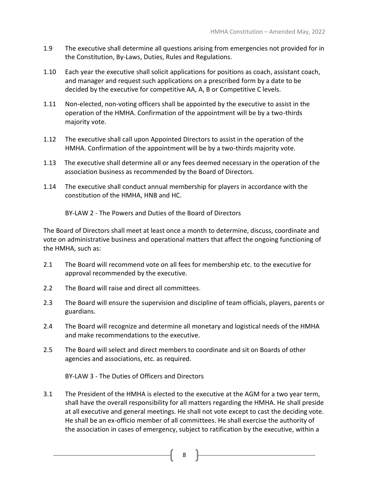- 1.9 The executive shall determine all questions arising from emergencies not provided for in the Constitution, By-Laws, Duties, Rules and Regulations.
- 1.10 Each year the executive shall solicit applications for positions as coach, assistant coach, and manager and request such applications on a prescribed form by a date to be decided by the executive for competitive AA, A, B or Competitive C levels.
- 1.11 Non-elected, non-voting officers shall be appointed by the executive to assist in the operation of the HMHA. Confirmation of the appointment will be by a two-thirds majority vote.
- 1.12 The executive shall call upon Appointed Directors to assist in the operation of the HMHA. Confirmation of the appointment will be by a two-thirds majority vote.
- 1.13 The executive shall determine all or any fees deemed necessary in the operation of the association business as recommended by the Board of Directors.
- 1.14 The executive shall conduct annual membership for players in accordance with the constitution of the HMHA, HNB and HC.

BY-LAW 2 - The Powers and Duties of the Board of Directors

The Board of Directors shall meet at least once a month to determine, discuss, coordinate and vote on administrative business and operational matters that affect the ongoing functioning of the HMHA, such as:

- 2.1 The Board will recommend vote on all fees for membership etc. to the executive for approval recommended by the executive.
- 2.2 The Board will raise and direct all committees.
- 2.3 The Board will ensure the supervision and discipline of team officials, players, parents or guardians.
- 2.4 The Board will recognize and determine all monetary and logistical needs of the HMHA and make recommendations to the executive.
- 2.5 The Board will select and direct members to coordinate and sit on Boards of other agencies and associations, etc. as required.

BY-LAW 3 - The Duties of Officers and Directors

3.1 The President of the HMHA is elected to the executive at the AGM for a two year term, shall have the overall responsibility for all matters regarding the HMHA. He shall preside at all executive and general meetings. He shall not vote except to cast the deciding vote. He shall be an ex-officio member of all committees. He shall exercise the authority of the association in cases of emergency, subject to ratification by the executive, within a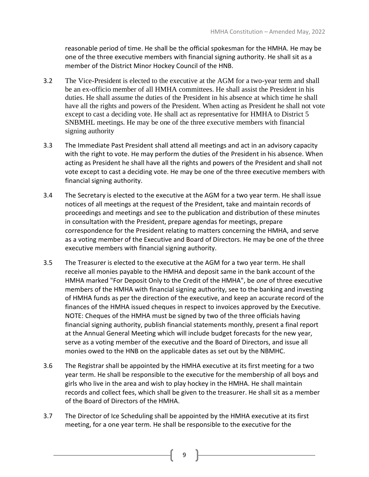reasonable period of time. He shall be the official spokesman for the HMHA. He may be one of the three executive members with financial signing authority. He shall sit as a member of the District Minor Hockey Council of the HNB.

- 3.2 The Vice-President is elected to the executive at the AGM for a two-year term and shall be an ex-officio member of all HMHA committees. He shall assist the President in his duties. He shall assume the duties of the President in his absence at which time he shall have all the rights and powers of the President. When acting as President he shall not vote except to cast a deciding vote. He shall act as representative for HMHA to District 5 SNBMHL meetings. He may be one of the three executive members with financial signing authority
- 3.3 The Immediate Past President shall attend all meetings and act in an advisory capacity with the right to vote. He may perform the duties of the President in his absence. When acting as President he shall have all the rights and powers of the President and shall not vote except to cast a deciding vote. He may be one of the three executive members with financial signing authority.
- 3.4 The Secretary is elected to the executive at the AGM for a two year term. He shall issue notices of all meetings at the request of the President, take and maintain records of proceedings and meetings and see to the publication and distribution of these minutes in consultation with the President, prepare agendas for meetings, prepare correspondence for the President relating to matters concerning the HMHA, and serve as a voting member of the Executive and Board of Directors. He may be one of the three executive members with financial signing authority.
- 3.5 The Treasurer is elected to the executive at the AGM for a two year term. He shall receive all monies payable to the HMHA and deposit same in the bank account of the HMHA marked "For Deposit Only to the Credit of the HMHA", be *one* of three executive members of the HMHA with financial signing authority, see to the banking and investing of HMHA funds as per the direction of the executive, and keep an accurate record of the finances of the HMHA issued cheques in respect to invoices approved by the Executive. NOTE: Cheques of the HMHA must be signed by two of the three officials having financial signing authority, publish financial statements monthly, present a final report at the Annual General Meeting which will include budget forecasts for the new year, serve as a voting member of the executive and the Board of Directors, and issue all monies owed to the HNB on the applicable dates as set out by the NBMHC.
- 3.6 The Registrar shall be appointed by the HMHA executive at its first meeting for a two year term. He shall be responsible to the executive for the membership of all boys and girls who live in the area and wish to play hockey in the HMHA. He shall maintain records and collect fees, which shall be given to the treasurer. He shall sit as a member of the Board of Directors of the HMHA.
- 3.7 The Director of Ice Scheduling shall be appointed by the HMHA executive at its first meeting, for a one year term. He shall be responsible to the executive for the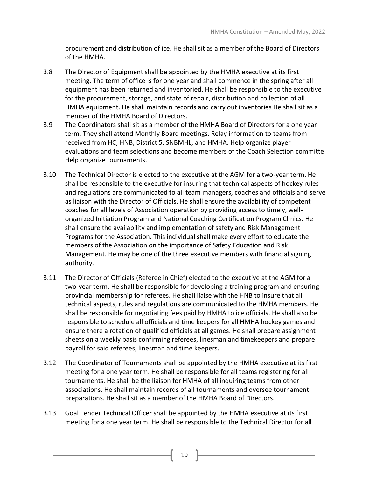procurement and distribution of ice. He shall sit as a member of the Board of Directors of the HMHA.

- 3.8 The Director of Equipment shall be appointed by the HMHA executive at its first meeting. The term of office is for one year and shall commence in the spring after all equipment has been returned and inventoried. He shall be responsible to the executive for the procurement, storage, and state of repair, distribution and collection of all HMHA equipment. He shall maintain records and carry out inventories He shall sit as a member of the HMHA Board of Directors.
- 3.9 The Coordinators shall sit as a member of the HMHA Board of Directors for a one year term. They shall attend Monthly Board meetings. Relay information to teams from received from HC, HNB, District 5, SNBMHL, and HMHA. Help organize player evaluations and team selections and become members of the Coach Selection committe Help organize tournaments.
- 3.10 The Technical Director is elected to the executive at the AGM for a two-year term. He shall be responsible to the executive for insuring that technical aspects of hockey rules and regulations are communicated to all team managers, coaches and officials and serve as liaison with the Director of Officials. He shall ensure the availability of competent coaches for all levels of Association operation by providing access to timely, wellorganized Initiation Program and National Coaching Certification Program Clinics. He shall ensure the availability and implementation of safety and Risk Management Programs for the Association. This individual shall make every effort to educate the members of the Association on the importance of Safety Education and Risk Management. He may be one of the three executive members with financial signing authority.
- 3.11 The Director of Officials (Referee in Chief) elected to the executive at the AGM for a two-year term. He shall be responsible for developing a training program and ensuring provincial membership for referees. He shall liaise with the HNB to insure that all technical aspects, rules and regulations are communicated to the HMHA members. He shall be responsible for negotiating fees paid by HMHA to ice officials. He shall also be responsible to schedule all officials and time keepers for all HMHA hockey games and ensure there a rotation of qualified officials at all games. He shall prepare assignment sheets on a weekly basis confirming referees, linesman and timekeepers and prepare payroll for said referees, linesman and time keepers.
- 3.12 The Coordinator of Tournaments shall be appointed by the HMHA executive at its first meeting for a one year term. He shall be responsible for all teams registering for all tournaments. He shall be the liaison for HMHA of all inquiring teams from other associations. He shall maintain records of all tournaments and oversee tournament preparations. He shall sit as a member of the HMHA Board of Directors.
- 3.13 Goal Tender Technical Officer shall be appointed by the HMHA executive at its first meeting for a one year term. He shall be responsible to the Technical Director for all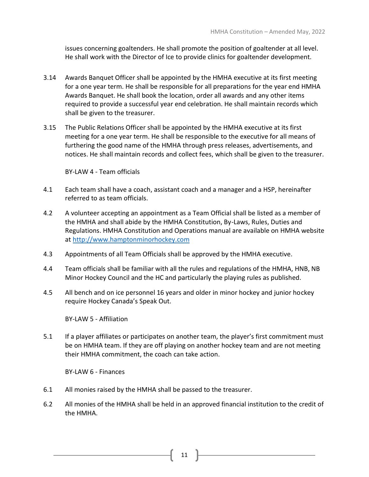issues concerning goaltenders. He shall promote the position of goaltender at all level. He shall work with the Director of Ice to provide clinics for goaltender development.

- 3.14 Awards Banquet Officer shall be appointed by the HMHA executive at its first meeting for a one year term. He shall be responsible for all preparations for the year end HMHA Awards Banquet. He shall book the location, order all awards and any other items required to provide a successful year end celebration. He shall maintain records which shall be given to the treasurer.
- 3.15 The Public Relations Officer shall be appointed by the HMHA executive at its first meeting for a one year term. He shall be responsible to the executive for all means of furthering the good name of the HMHA through press releases, advertisements, and notices. He shall maintain records and collect fees, which shall be given to the treasurer.

BY-LAW 4 - Team officials

- 4.1 Each team shall have a coach, assistant coach and a manager and a HSP, hereinafter referred to as team officials.
- 4.2 A volunteer accepting an appointment as a Team Official shall be listed as a member of the HMHA and shall abide by the HMHA Constitution, By-Laws, Rules, Duties and Regulations. HMHA Constitution and Operations manual are available on HMHA website at [http://www.hamptonminorhockey.com](http://www.hamptonminorhockey.com/)
- 4.3 Appointments of all Team Officials shall be approved by the HMHA executive.
- 4.4 Team officials shall be familiar with all the rules and regulations of the HMHA, HNB, NB Minor Hockey Council and the HC and particularly the playing rules as published.
- 4.5 All bench and on ice personnel 16 years and older in minor hockey and junior hockey require Hockey Canada's Speak Out.

BY-LAW 5 - Affiliation

5.1 If a player affiliates or participates on another team, the player's first commitment must be on HMHA team. If they are off playing on another hockey team and are not meeting their HMHA commitment, the coach can take action.

BY-LAW 6 - Finances

- 6.1 All monies raised by the HMHA shall be passed to the treasurer.
- 6.2 All monies of the HMHA shall be held in an approved financial institution to the credit of the HMHA.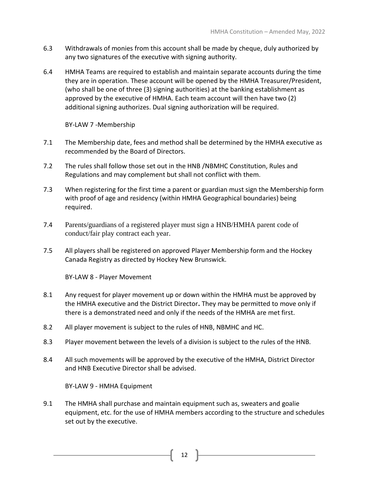- 6.3 Withdrawals of monies from this account shall be made by cheque, duly authorized by any two signatures of the executive with signing authority.
- 6.4 HMHA Teams are required to establish and maintain separate accounts during the time they are in operation. These account will be opened by the HMHA Treasurer/President, (who shall be one of three (3) signing authorities) at the banking establishment as approved by the executive of HMHA. Each team account will then have two (2) additional signing authorizes. Dual signing authorization will be required.

BY-LAW 7 -Membership

- 7.1 The Membership date, fees and method shall be determined by the HMHA executive as recommended by the Board of Directors.
- 7.2 The rules shall follow those set out in the HNB /NBMHC Constitution, Rules and Regulations and may complement but shall not conflict with them.
- 7.3 When registering for the first time a parent or guardian must sign the Membership form with proof of age and residency (within HMHA Geographical boundaries) being required.
- 7.4 Parents/guardians of a registered player must sign a HNB/HMHA parent code of conduct/fair play contract each year.
- 7.5 All players shall be registered on approved Player Membership form and the Hockey Canada Registry as directed by Hockey New Brunswick.

BY-LAW 8 - Player Movement

- 8.1 Any request for player movement up or down within the HMHA must be approved by the HMHA executive and the District Director**.** They may be permitted to move only if there is a demonstrated need and only if the needs of the HMHA are met first.
- 8.2 All player movement is subject to the rules of HNB, NBMHC and HC.
- 8.3 Player movement between the levels of a division is subject to the rules of the HNB.
- 8.4 All such movements will be approved by the executive of the HMHA, District Director and HNB Executive Director shall be advised.

BY-LAW 9 - HMHA Equipment

9.1 The HMHA shall purchase and maintain equipment such as, sweaters and goalie equipment, etc. for the use of HMHA members according to the structure and schedules set out by the executive.

 $12$   $\uparrow$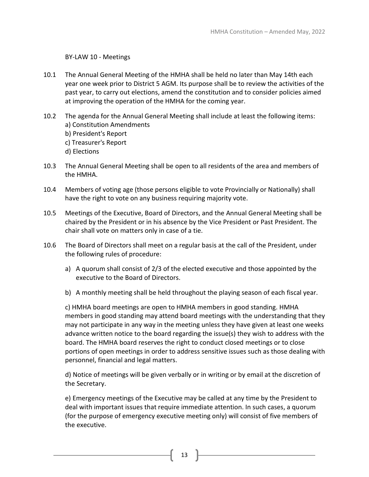## BY-LAW 10 - Meetings

- 10.1 The Annual General Meeting of the HMHA shall be held no later than May 14th each year one week prior to District 5 AGM. Its purpose shall be to review the activities of the past year, to carry out elections, amend the constitution and to consider policies aimed at improving the operation of the HMHA for the coming year.
- 10.2 The agenda for the Annual General Meeting shall include at least the following items: a) Constitution Amendments b) President's Report c) Treasurer's Report d) Elections
- 10.3 The Annual General Meeting shall be open to all residents of the area and members of the HMHA.
- 10.4 Members of voting age (those persons eligible to vote Provincially or Nationally) shall have the right to vote on any business requiring majority vote.
- 10.5 Meetings of the Executive, Board of Directors, and the Annual General Meeting shall be chaired by the President or in his absence by the Vice President or Past President. The chair shall vote on matters only in case of a tie.
- 10.6 The Board of Directors shall meet on a regular basis at the call of the President, under the following rules of procedure:
	- a) A quorum shall consist of 2/3 of the elected executive and those appointed by the executive to the Board of Directors.
	- b) A monthly meeting shall be held throughout the playing season of each fiscal year.

c) HMHA board meetings are open to HMHA members in good standing. HMHA members in good standing may attend board meetings with the understanding that they may not participate in any way in the meeting unless they have given at least one weeks advance written notice to the board regarding the issue(s) they wish to address with the board. The HMHA board reserves the right to conduct closed meetings or to close portions of open meetings in order to address sensitive issues such as those dealing with personnel, financial and legal matters.

d) Notice of meetings will be given verbally or in writing or by email at the discretion of the Secretary.

e) Emergency meetings of the Executive may be called at any time by the President to deal with important issues that require immediate attention. In such cases, a quorum (for the purpose of emergency executive meeting only) will consist of five members of the executive.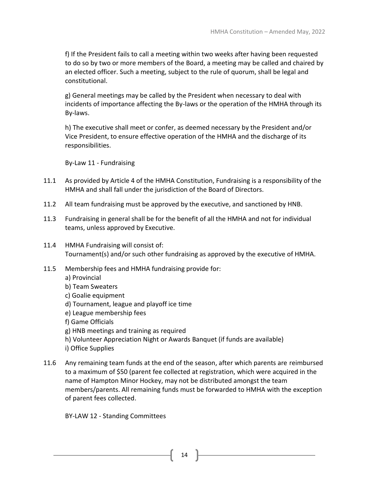f) If the President fails to call a meeting within two weeks after having been requested to do so by two or more members of the Board, a meeting may be called and chaired by an elected officer. Such a meeting, subject to the rule of quorum, shall be legal and constitutional.

g) General meetings may be called by the President when necessary to deal with incidents of importance affecting the By-laws or the operation of the HMHA through its By-laws.

h) The executive shall meet or confer, as deemed necessary by the President and/or Vice President, to ensure effective operation of the HMHA and the discharge of its responsibilities.

By-Law 11 - Fundraising

- 11.1 As provided by Article 4 of the HMHA Constitution, Fundraising is a responsibility of the HMHA and shall fall under the jurisdiction of the Board of Directors.
- 11.2 All team fundraising must be approved by the executive, and sanctioned by HNB.
- 11.3 Fundraising in general shall be for the benefit of all the HMHA and not for individual teams, unless approved by Executive.
- 11.4 HMHA Fundraising will consist of: Tournament(s) and/or such other fundraising as approved by the executive of HMHA.
- 11.5 Membership fees and HMHA fundraising provide for:
	- a) Provincial
	- b) Team Sweaters
	- c) Goalie equipment
	- d) Tournament, league and playoff ice time
	- e) League membership fees
	- f) Game Officials
	- g) HNB meetings and training as required
	- h) Volunteer Appreciation Night or Awards Banquet (if funds are available)
	- i) Office Supplies
- 11.6 Any remaining team funds at the end of the season, after which parents are reimbursed to a maximum of \$50 (parent fee collected at registration, which were acquired in the name of Hampton Minor Hockey, may not be distributed amongst the team members/parents. All remaining funds must be forwarded to HMHA with the exception of parent fees collected.

BY-LAW 12 - Standing Committees

 $14$  ]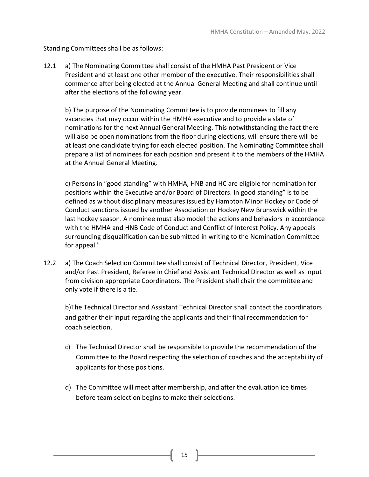Standing Committees shall be as follows:

12.1 a) The Nominating Committee shall consist of the HMHA Past President or Vice President and at least one other member of the executive. Their responsibilities shall commence after being elected at the Annual General Meeting and shall continue until after the elections of the following year.

b) The purpose of the Nominating Committee is to provide nominees to fill any vacancies that may occur within the HMHA executive and to provide a slate of nominations for the next Annual General Meeting. This notwithstanding the fact there will also be open nominations from the floor during elections, will ensure there will be at least one candidate trying for each elected position. The Nominating Committee shall prepare a list of nominees for each position and present it to the members of the HMHA at the Annual General Meeting.

c) Persons in "good standing" with HMHA, HNB and HC are eligible for nomination for positions within the Executive and/or Board of Directors. In good standing" is to be defined as without disciplinary measures issued by Hampton Minor Hockey or Code of Conduct sanctions issued by another Association or Hockey New Brunswick within the last hockey season. A nominee must also model the actions and behaviors in accordance with the HMHA and HNB Code of Conduct and Conflict of Interest Policy. Any appeals surrounding disqualification can be submitted in writing to the Nomination Committee for appeal."

12.2 a) The Coach Selection Committee shall consist of Technical Director, President, Vice and/or Past President, Referee in Chief and Assistant Technical Director as well as input from division appropriate Coordinators. The President shall chair the committee and only vote if there is a tie.

b)The Technical Director and Assistant Technical Director shall contact the coordinators and gather their input regarding the applicants and their final recommendation for coach selection.

- c) The Technical Director shall be responsible to provide the recommendation of the Committee to the Board respecting the selection of coaches and the acceptability of applicants for those positions.
- d) The Committee will meet after membership, and after the evaluation ice times before team selection begins to make their selections.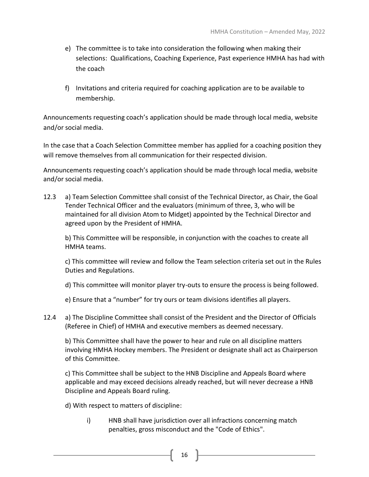- e) The committee is to take into consideration the following when making their selections: Qualifications, Coaching Experience, Past experience HMHA has had with the coach
- f) Invitations and criteria required for coaching application are to be available to membership.

Announcements requesting coach's application should be made through local media, website and/or social media.

In the case that a Coach Selection Committee member has applied for a coaching position they will remove themselves from all communication for their respected division.

Announcements requesting coach's application should be made through local media, website and/or social media.

12.3 a) Team Selection Committee shall consist of the Technical Director, as Chair, the Goal Tender Technical Officer and the evaluators (minimum of three, 3, who will be maintained for all division Atom to Midget) appointed by the Technical Director and agreed upon by the President of HMHA.

b) This Committee will be responsible, in conjunction with the coaches to create all HMHA teams.

c) This committee will review and follow the Team selection criteria set out in the Rules Duties and Regulations.

d) This committee will monitor player try-outs to ensure the process is being followed.

- e) Ensure that a "number" for try ours or team divisions identifies all players.
- 12.4 a) The Discipline Committee shall consist of the President and the Director of Officials (Referee in Chief) of HMHA and executive members as deemed necessary.

b) This Committee shall have the power to hear and rule on all discipline matters involving HMHA Hockey members. The President or designate shall act as Chairperson of this Committee.

c) This Committee shall be subject to the HNB Discipline and Appeals Board where applicable and may exceed decisions already reached, but will never decrease a HNB Discipline and Appeals Board ruling.

d) With respect to matters of discipline:

i) HNB shall have jurisdiction over all infractions concerning match penalties, gross misconduct and the "Code of Ethics".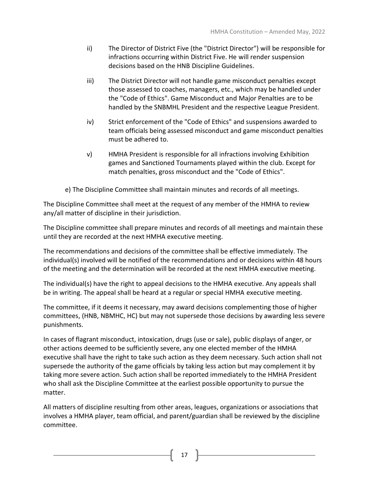- ii) The Director of District Five (the "District Director") will be responsible for infractions occurring within District Five. He will render suspension decisions based on the HNB Discipline Guidelines.
- iii) The District Director will not handle game misconduct penalties except those assessed to coaches, managers, etc., which may be handled under the "Code of Ethics". Game Misconduct and Major Penalties are to be handled by the SNBMHL President and the respective League President.
- iv) Strict enforcement of the "Code of Ethics" and suspensions awarded to team officials being assessed misconduct and game misconduct penalties must be adhered to.
- v) HMHA President is responsible for all infractions involving Exhibition games and Sanctioned Tournaments played within the club. Except for match penalties, gross misconduct and the "Code of Ethics".
- e) The Discipline Committee shall maintain minutes and records of all meetings.

The Discipline Committee shall meet at the request of any member of the HMHA to review any/all matter of discipline in their jurisdiction.

The Discipline committee shall prepare minutes and records of all meetings and maintain these until they are recorded at the next HMHA executive meeting.

The recommendations and decisions of the committee shall be effective immediately. The individual(s) involved will be notified of the recommendations and or decisions within 48 hours of the meeting and the determination will be recorded at the next HMHA executive meeting.

The individual(s) have the right to appeal decisions to the HMHA executive. Any appeals shall be in writing. The appeal shall be heard at a regular or special HMHA executive meeting.

The committee, if it deems it necessary, may award decisions complementing those of higher committees, (HNB, NBMHC, HC) but may not supersede those decisions by awarding less severe punishments.

In cases of flagrant misconduct, intoxication, drugs (use or sale), public displays of anger, or other actions deemed to be sufficiently severe, any one elected member of the HMHA executive shall have the right to take such action as they deem necessary. Such action shall not supersede the authority of the game officials by taking less action but may complement it by taking more severe action. Such action shall be reported immediately to the HMHA President who shall ask the Discipline Committee at the earliest possible opportunity to pursue the matter.

All matters of discipline resulting from other areas, leagues, organizations or associations that involves a HMHA player, team official, and parent/guardian shall be reviewed by the discipline committee.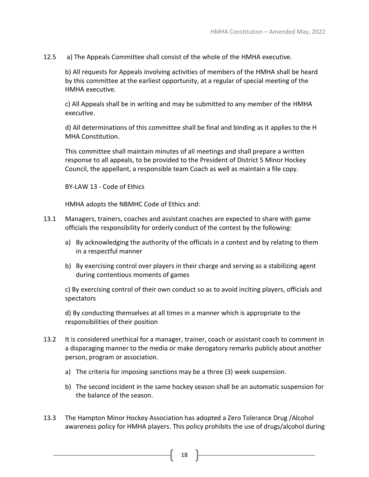12.5 a) The Appeals Committee shall consist of the whole of the HMHA executive.

b) All requests for Appeals involving activities of members of the HMHA shall be heard by this committee at the earliest opportunity, at a regular of special meeting of the HMHA executive.

c) All Appeals shall be in writing and may be submitted to any member of the HMHA executive.

d) All determinations of this committee shall be final and binding as it applies to the H MHA Constitution.

This committee shall maintain minutes of all meetings and shall prepare a written response to all appeals, to be provided to the President of District 5 Minor Hockey Council, the appellant, a responsible team Coach as well as maintain a file copy.

BY-LAW 13 - Code of Ethics

HMHA adopts the NBMHC Code of Ethics and:

- 13.1 Managers, trainers, coaches and assistant coaches are expected to share with game officials the responsibility for orderly conduct of the contest by the following:
	- a) By acknowledging the authority of the officials in a contest and by relating to them in a respectful manner
	- b) By exercising control over players in their charge and serving as a stabilizing agent during contentious moments of games

c) By exercising control of their own conduct so as to avoid inciting players, officials and spectators

d) By conducting themselves at all times in a manner which is appropriate to the responsibilities of their position

- 13.2 It is considered unethical for a manager, trainer, coach or assistant coach to comment in a disparaging manner to the media or make derogatory remarks publicly about another person, program or association.
	- a) The criteria for imposing sanctions may be a three (3) week suspension.
	- b) The second incident in the same hockey season shall be an automatic suspension for the balance of the season.
- 13.3 The Hampton Minor Hockey Association has adopted a Zero Tolerance Drug /Alcohol awareness policy for HMHA players. This policy prohibits the use of drugs/alcohol during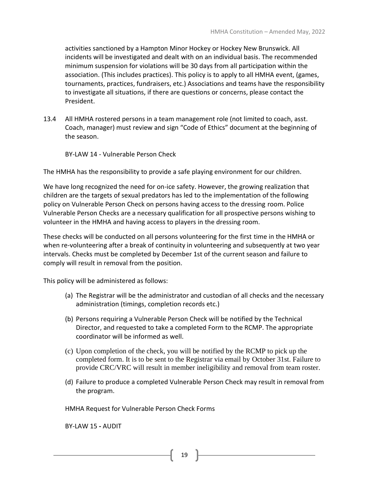activities sanctioned by a Hampton Minor Hockey or Hockey New Brunswick. All incidents will be investigated and dealt with on an individual basis. The recommended minimum suspension for violations will be 30 days from all participation within the association. (This includes practices). This policy is to apply to all HMHA event, (games, tournaments, practices, fundraisers, etc.) Associations and teams have the responsibility to investigate all situations, if there are questions or concerns, please contact the President.

13.4 All HMHA rostered persons in a team management role (not limited to coach, asst. Coach, manager) must review and sign "Code of Ethics" document at the beginning of the season.

BY-LAW 14 - Vulnerable Person Check

The HMHA has the responsibility to provide a safe playing environment for our children.

We have long recognized the need for on-ice safety. However, the growing realization that children are the targets of sexual predators has led to the implementation of the following policy on Vulnerable Person Check on persons having access to the dressing room. Police Vulnerable Person Checks are a necessary qualification for all prospective persons wishing to volunteer in the HMHA and having access to players in the dressing room.

These checks will be conducted on all persons volunteering for the first time in the HMHA or when re-volunteering after a break of continuity in volunteering and subsequently at two year intervals. Checks must be completed by December 1st of the current season and failure to comply will result in removal from the position.

This policy will be administered as follows:

- (a) The Registrar will be the administrator and custodian of all checks and the necessary administration (timings, completion records etc.)
- (b) Persons requiring a Vulnerable Person Check will be notified by the Technical Director, and requested to take a completed Form to the RCMP. The appropriate coordinator will be informed as well.
- (c) Upon completion of the check, you will be notified by the RCMP to pick up the completed form. It is to be sent to the Registrar via email by October 31st. Failure to provide CRC/VRC will result in member ineligibility and removal from team roster.
- (d) Failure to produce a completed Vulnerable Person Check may result in removal from the program.

HMHA Request for Vulnerable Person Check Forms

BY-LAW 15 **-** AUDIT